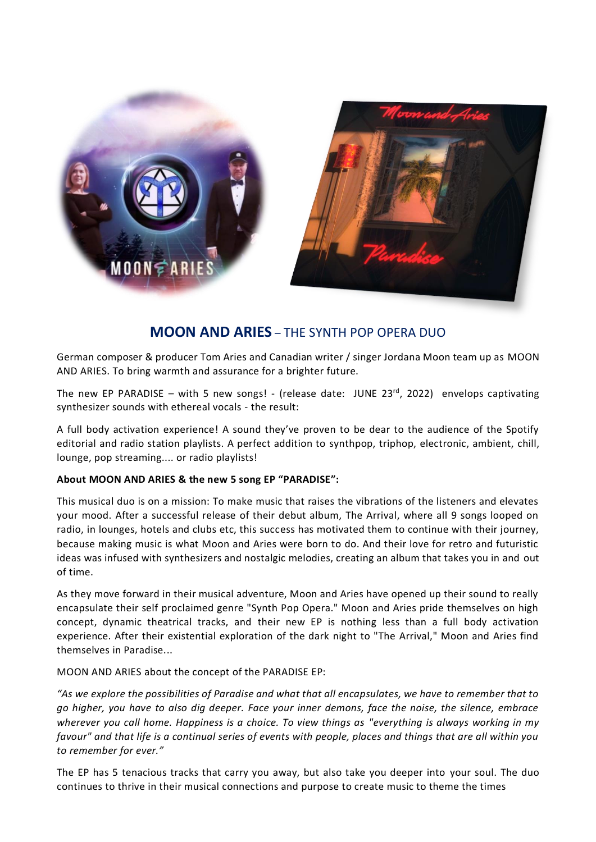

# **MOON AND ARIES** – THE SYNTH POP OPERA DUO

German composer & producer Tom Aries and Canadian writer / singer Jordana Moon team up as MOON AND ARIES. To bring warmth and assurance for a brighter future.

The new EP PARADISE – with 5 new songs! - (release date: JUNE 23<sup>rd</sup>, 2022) envelops captivating synthesizer sounds with ethereal vocals - the result:

A full body activation experience! A sound they've proven to be dear to the audience of the Spotify editorial and radio station playlists. A perfect addition to synthpop, triphop, electronic, ambient, chill, lounge, pop streaming.... or radio playlists!

### **About MOON AND ARIES & the new 5 song EP "PARADISE":**

This musical duo is on a mission: To make music that raises the vibrations of the listeners and elevates your mood. After a successful release of their debut album, The Arrival, where all 9 songs looped on radio, in lounges, hotels and clubs etc, this success has motivated them to continue with their journey, because making music is what Moon and Aries were born to do. And their love for retro and futuristic ideas was infused with synthesizers and nostalgic melodies, creating an album that takes you in and out of time.

As they move forward in their musical adventure, Moon and Aries have opened up their sound to really encapsulate their self proclaimed genre "Synth Pop Opera." Moon and Aries pride themselves on high concept, dynamic theatrical tracks, and their new EP is nothing less than a full body activation experience. After their existential exploration of the dark night to "The Arrival," Moon and Aries find themselves in Paradise...

MOON AND ARIES about the concept of the PARADISE EP:

*"As we explore the possibilities of Paradise and what that all encapsulates, we have to remember that to go higher, you have to also dig deeper. Face your inner demons, face the noise, the silence, embrace wherever you call home. Happiness is a choice. To view things as "everything is always working in my favour" and that life is a continual series of events with people, places and things that are all within you to remember for ever."*

The EP has 5 tenacious tracks that carry you away, but also take you deeper into your soul. The duo continues to thrive in their musical connections and purpose to create music to theme the times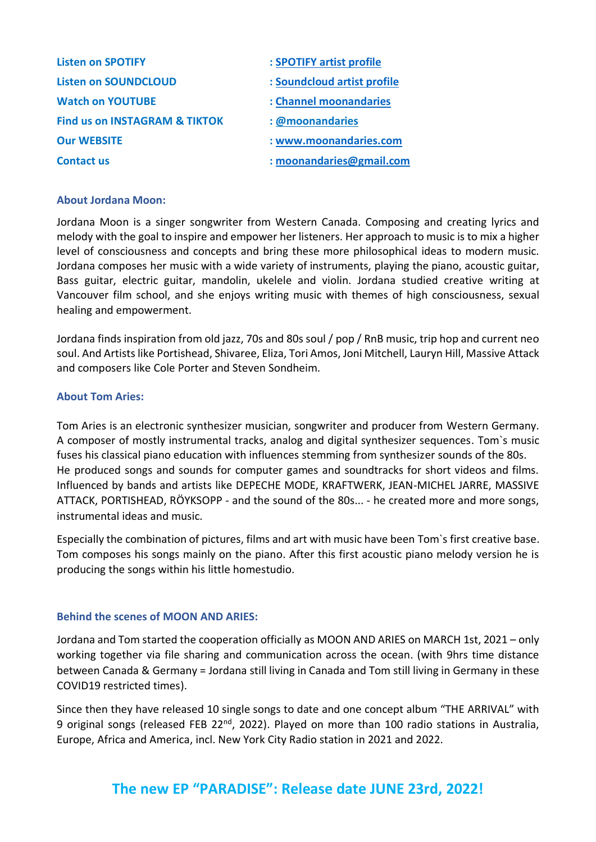| <b>Listen on SPOTIFY</b>                 | : SPOTIFY artist profile    |
|------------------------------------------|-----------------------------|
| <b>Listen on SOUNDCLOUD</b>              | : Soundcloud artist profile |
| <b>Watch on YOUTUBE</b>                  | : Channel moonandaries      |
| <b>Find us on INSTAGRAM &amp; TIKTOK</b> | : @moonandaries             |
| <b>Our WEBSITE</b>                       | : www.moonandaries.com      |
| <b>Contact us</b>                        | : moonandaries@gmail.com    |

## **About Jordana Moon:**

Jordana Moon is a singer songwriter from Western Canada. Composing and creating lyrics and melody with the goal to inspire and empower her listeners. Her approach to music is to mix a higher level of consciousness and concepts and bring these more philosophical ideas to modern music. Jordana composes her music with a wide variety of instruments, playing the piano, acoustic guitar, Bass guitar, electric guitar, mandolin, ukelele and violin. Jordana studied creative writing at Vancouver film school, and she enjoys writing music with themes of high consciousness, sexual healing and empowerment.

Jordana finds inspiration from old jazz, 70s and 80s soul / pop / RnB music, trip hop and current neo soul. And Artistslike Portishead, Shivaree, Eliza, Tori Amos, Joni Mitchell, Lauryn Hill, Massive Attack and composers like Cole Porter and Steven Sondheim.

### **About Tom Aries:**

Tom Aries is an electronic synthesizer musician, songwriter and producer from Western Germany. A composer of mostly instrumental tracks, analog and digital synthesizer sequences. Tom`s music fuses his classical piano education with influences stemming from synthesizer sounds of the 80s. He produced songs and sounds for computer games and soundtracks for short videos and films. Influenced by bands and artists like DEPECHE MODE, KRAFTWERK, JEAN-MICHEL JARRE, MASSIVE ATTACK, PORTISHEAD, RÖYKSOPP - and the sound of the 80s... - he created more and more songs, instrumental ideas and music.

Especially the combination of pictures, films and art with music have been Tom`s first creative base. Tom composes his songs mainly on the piano. After this first acoustic piano melody version he is producing the songs within his little homestudio.

# **Behind the scenes of MOON AND ARIES:**

Jordana and Tom started the cooperation officially as MOON AND ARIES on MARCH 1st, 2021 – only working together via file sharing and communication across the ocean. (with 9hrs time distance between Canada & Germany = Jordana still living in Canada and Tom still living in Germany in these COVID19 restricted times).

Since then they have released 10 single songs to date and one concept album "THE ARRIVAL" with 9 original songs (released FEB 22<sup>nd</sup>, 2022). Played on more than 100 radio stations in Australia, Europe, Africa and America, incl. New York City Radio station in 2021 and 2022.

# **The new EP "PARADISE": Release date JUNE 23rd, 2022!**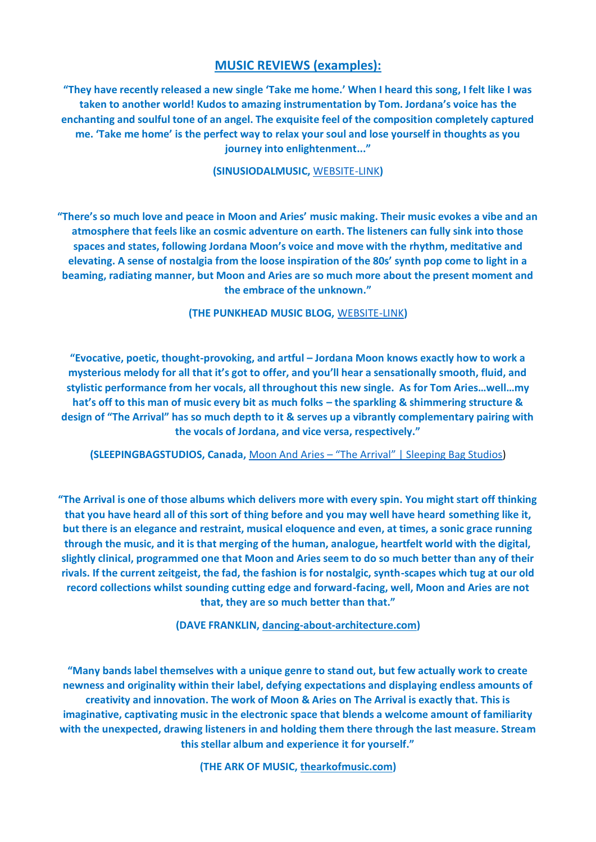# **MUSIC REVIEWS (examples):**

**"They have recently released a new single 'Take me home.' When I heard this song, I felt like I was taken to another world! Kudos to amazing instrumentation by Tom. Jordana's voice has the enchanting and soulful tone of an angel. The exquisite feel of the composition completely captured me. 'Take me home' is the perfect way to relax your soul and lose yourself in thoughts as you journey into enlightenment..."**

**(SINUSIODALMUSIC,** [WEBSITE-LINK](https://sinusoidalmusic.com/2022/05/31/moon-and-aries-take-me-home-soul-soothing/)**)**

**"There's so much love and peace in Moon and Aries' music making. Their music evokes a vibe and an atmosphere that feels like an cosmic adventure on earth. The listeners can fully sink into those spaces and states, following Jordana Moon's voice and move with the rhythm, meditative and elevating. A sense of nostalgia from the loose inspiration of the 80s' synth pop come to light in a beaming, radiating manner, but Moon and Aries are so much more about the present moment and the embrace of the unknown."**

**(THE PUNKHEAD MUSIC BLOG,** [WEBSITE-LINK](https://thepunkhead.com/artist-spotlight/Moon-and-Aries-take-me-home)**)**

**"Evocative, poetic, thought-provoking, and artful – Jordana Moon knows exactly how to work a mysterious melody for all that it's got to offer, and you'll hear a sensationally smooth, fluid, and stylistic performance from her vocals, all throughout this new single. As for Tom Aries…well…my hat's off to this man of music every bit as much folks – the sparkling & shimmering structure & design of "The Arrival" has so much depth to it & serves up a vibrantly complementary pairing with the vocals of Jordana, and vice versa, respectively."**

**(SLEEPINGBAGSTUDIOS, Canada,** Moon And Aries – ["The Arrival" | Sleeping Bag Studios](https://sleepingbagstudios.ca/moon-and-aries-the-arrival/))

**"The Arrival is one of those albums which delivers more with every spin. You might start off thinking that you have heard all of this sort of thing before and you may well have heard something like it, but there is an elegance and restraint, musical eloquence and even, at times, a sonic grace running through the music, and it is that merging of the human, analogue, heartfelt world with the digital, slightly clinical, programmed one that Moon and Aries seem to do so much better than any of their rivals. If the current zeitgeist, the fad, the fashion is for nostalgic, synth-scapes which tug at our old record collections whilst sounding cutting edge and forward-facing, well, Moon and Aries are not that, they are so much better than that."**

**(DAVE FRANKLIN, [dancing-about-architecture.com\)](https://dancing-about-architecture.com/the-arrival-moon-and-aries-reviewed-by-dave-franklin/)** 

**"Many bands label themselves with a unique genre to stand out, but few actually work to create newness and originality within their label, defying expectations and displaying endless amounts of creativity and innovation. The work of Moon & Aries on The Arrival is exactly that. This is imaginative, captivating music in the electronic space that blends a welcome amount of familiarity with the unexpected, drawing listeners in and holding them there through the last measure. Stream this stellar album and experience it for yourself."**

**(THE ARK OF MUSIC, [thearkofmusic.com\)](https://thearkofmusic.com/moon-aries-the-arrival/)**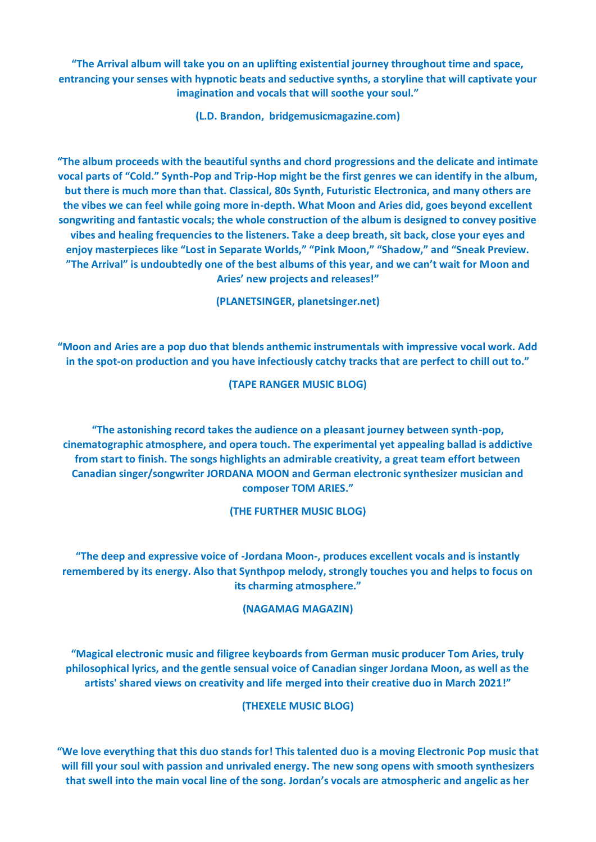**"The Arrival album will take you on an uplifting existential journey throughout time and space, entrancing your senses with hypnotic beats and seductive synths, a storyline that will captivate your imagination and vocals that will soothe your soul."**

**(L.D. Brandon, [bridgemusicmagazine.com\)](https://bridgemusicmagazine.com/moon-and-aries-new-album-the-arrival-will-take-you-on-an-uplifting-existential-journey/)** 

**"The album proceeds with the beautiful synths and chord progressions and the delicate and intimate vocal parts of "Cold." Synth-Pop and Trip-Hop might be the first genres we can identify in the album, but there is much more than that. Classical, 80s Synth, Futuristic Electronica, and many others are the vibes we can feel while going more in-depth. What Moon and Aries did, goes beyond excellent songwriting and fantastic vocals; the whole construction of the album is designed to convey positive vibes and healing frequencies to the listeners. Take a deep breath, sit back, close your eyes and enjoy masterpieces like "Lost in Separate Worlds," "Pink Moon," "Shadow," and "Sneak Preview. "The Arrival" is undoubtedly one of the best albums of this year, and we can't wait for Moon and Aries' new projects and releases!"**

**(PLANETSINGER, [planetsinger.net\)](https://www.planetsinger.net/moon-and-aries-the-arrival-album-exclusive-review/)**

**"Moon and Aries are a pop duo that blends anthemic instrumentals with impressive vocal work. Add in the spot-on production and you have infectiously catchy tracks that are perfect to chill out to."**

#### **(TAPE RANGER MUSIC BLOG)**

**"The astonishing record takes the audience on a pleasant journey between synth-pop, cinematographic atmosphere, and opera touch. The experimental yet appealing ballad is addictive from start to finish. The songs highlights an admirable creativity, a great team effort between Canadian singer/songwriter JORDANA MOON and German electronic synthesizer musician and composer TOM ARIES."**

### **(THE FURTHER MUSIC BLOG)**

**"The deep and expressive voice of -Jordana Moon-, produces excellent vocals and is instantly remembered by its energy. Also that Synthpop melody, strongly touches you and helps to focus on its charming atmosphere."**

### **(NAGAMAG MAGAZIN)**

**"Magical electronic music and filigree keyboards from German music producer Tom Aries, truly philosophical lyrics, and the gentle sensual voice of Canadian singer Jordana Moon, as well as the artists' shared views on creativity and life merged into their creative duo in March 2021!"**

## **(THEXELE MUSIC BLOG)**

**"We love everything that this duo stands for! This talented duo is a moving Electronic Pop music that will fill your soul with passion and unrivaled energy. The new song opens with smooth synthesizers that swell into the main vocal line of the song. Jordan's vocals are atmospheric and angelic as her**